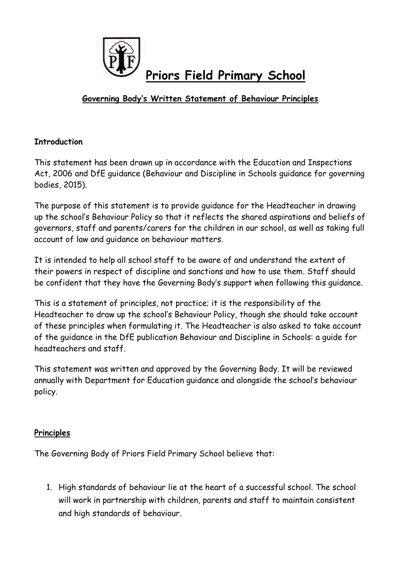

# **Governing Body's Written Statement of Behaviour Principles**

## **Introduction**

This statement has been drawn up in accordance with the Education and Inspections Act, 2006 and DfE guidance (Behaviour and Discipline in Schools guidance for governing bodies, 2015).

The purpose of this statement is to provide guidance for the Headteacher in drawing up the school's Behaviour Policy so that it reflects the shared aspirations and beliefs of governors, staff and parents/carers for the children in our school, as well as taking full account of law and guidance on behaviour matters.

It is intended to help all school staff to be aware of and understand the extent of their powers in respect of discipline and sanctions and how to use them. Staff should be confident that they have the Governing Body's support when following this guidance.

This is a statement of principles, not practice; it is the responsibility of the Headteacher to draw up the school's Behaviour Policy, though she should take account of these principles when formulating it. The Headteacher is also asked to take account of the guidance in the DfE publication Behaviour and Discipline in Schools: a guide for headteachers and staff.

This statement was written and approved by the Governing Body. It will be reviewed annually with Department for Education guidance and alongside the school's behaviour policy.

## **Principles**

The Governing Body of Priors Field Primary School believe that:

1. High standards of behaviour lie at the heart of a successful school. The school will work in partnership with children, parents and staff to maintain consistent and high standards of behaviour.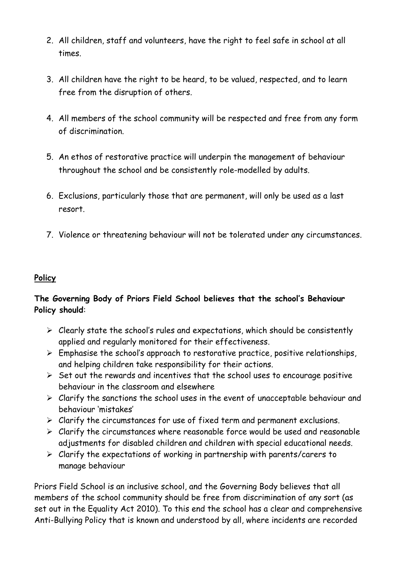- 2. All children, staff and volunteers, have the right to feel safe in school at all times.
- 3. All children have the right to be heard, to be valued, respected, and to learn free from the disruption of others.
- 4. All members of the school community will be respected and free from any form of discrimination.
- 5. An ethos of restorative practice will underpin the management of behaviour throughout the school and be consistently role-modelled by adults.
- 6. Exclusions, particularly those that are permanent, will only be used as a last resort.
- 7. Violence or threatening behaviour will not be tolerated under any circumstances.

## **Policy**

## **The Governing Body of Priors Field School believes that the school's Behaviour Policy should**:

- $\triangleright$  Clearly state the school's rules and expectations, which should be consistently applied and regularly monitored for their effectiveness.
- $\triangleright$  Emphasise the school's approach to restorative practice, positive relationships, and helping children take responsibility for their actions.
- $\triangleright$  Set out the rewards and incentives that the school uses to encourage positive behaviour in the classroom and elsewhere
- $\triangleright$  Clarify the sanctions the school uses in the event of unacceptable behaviour and behaviour 'mistakes'
- $\triangleright$  Clarify the circumstances for use of fixed term and permanent exclusions.
- $\triangleright$  Clarify the circumstances where reasonable force would be used and reasonable adjustments for disabled children and children with special educational needs.
- $\triangleright$  Clarify the expectations of working in partnership with parents/carers to manage behaviour

Priors Field School is an inclusive school, and the Governing Body believes that all members of the school community should be free from discrimination of any sort (as set out in the Equality Act 2010). To this end the school has a clear and comprehensive Anti-Bullying Policy that is known and understood by all, where incidents are recorded